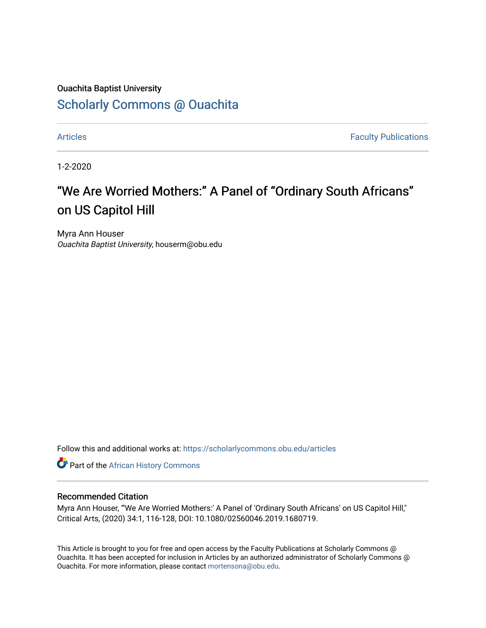## Ouachita Baptist University

## [Scholarly Commons @ Ouachita](https://scholarlycommons.obu.edu/)

[Articles](https://scholarlycommons.obu.edu/articles) **Faculty Publications** 

1-2-2020

# "We Are Worried Mothers:" A Panel of "Ordinary South Africans" on US Capitol Hill

Myra Ann Houser Ouachita Baptist University, houserm@obu.edu

Follow this and additional works at: [https://scholarlycommons.obu.edu/articles](https://scholarlycommons.obu.edu/articles?utm_source=scholarlycommons.obu.edu%2Farticles%2F330&utm_medium=PDF&utm_campaign=PDFCoverPages) 

Part of the [African History Commons](http://network.bepress.com/hgg/discipline/490?utm_source=scholarlycommons.obu.edu%2Farticles%2F330&utm_medium=PDF&utm_campaign=PDFCoverPages)

#### Recommended Citation

Myra Ann Houser, "'We Are Worried Mothers:' A Panel of 'Ordinary South Africans' on US Capitol Hill," Critical Arts, (2020) 34:1, 116-128, DOI: 10.1080/02560046.2019.1680719.

This Article is brought to you for free and open access by the Faculty Publications at Scholarly Commons @ Ouachita. It has been accepted for inclusion in Articles by an authorized administrator of Scholarly Commons @ Ouachita. For more information, please contact [mortensona@obu.edu](mailto:mortensona@obu.edu).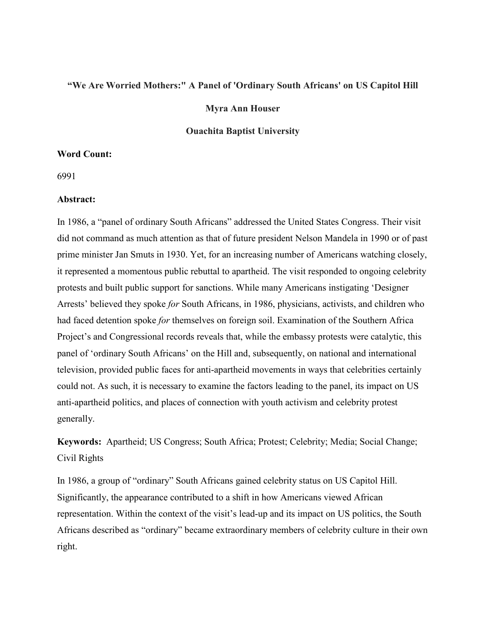#### **"We Are Worried Mothers:" A Panel of 'Ordinary South Africans' on US Capitol Hill**

#### **Myra Ann Houser**

#### **Ouachita Baptist University**

### **Word Count:**

#### 6991

#### **Abstract:**

In 1986, a "panel of ordinary South Africans" addressed the United States Congress. Their visit did not command as much attention as that of future president Nelson Mandela in 1990 or of past prime minister Jan Smuts in 1930. Yet, for an increasing number of Americans watching closely, it represented a momentous public rebuttal to apartheid. The visit responded to ongoing celebrity protests and built public support for sanctions. While many Americans instigating 'Designer Arrests' believed they spoke *for* South Africans, in 1986, physicians, activists, and children who had faced detention spoke *for* themselves on foreign soil. Examination of the Southern Africa Project's and Congressional records reveals that, while the embassy protests were catalytic, this panel of 'ordinary South Africans' on the Hill and, subsequently, on national and international television, provided public faces for anti-apartheid movements in ways that celebrities certainly could not. As such, it is necessary to examine the factors leading to the panel, its impact on US anti-apartheid politics, and places of connection with youth activism and celebrity protest generally.

**Keywords:** Apartheid; US Congress; South Africa; Protest; Celebrity; Media; Social Change; Civil Rights

In 1986, a group of "ordinary" South Africans gained celebrity status on US Capitol Hill. Significantly, the appearance contributed to a shift in how Americans viewed African representation. Within the context of the visit's lead-up and its impact on US politics, the South Africans described as "ordinary" became extraordinary members of celebrity culture in their own right.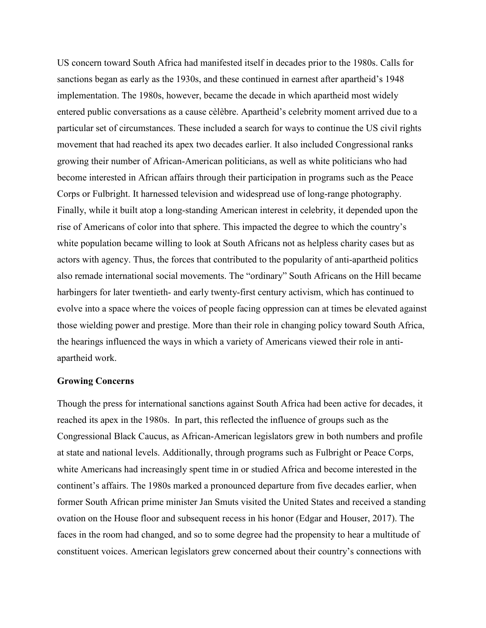US concern toward South Africa had manifested itself in decades prior to the 1980s. Calls for sanctions began as early as the 1930s, and these continued in earnest after apartheid's 1948 implementation. The 1980s, however, became the decade in which apartheid most widely entered public conversations as a cause cèlèbre. Apartheid's celebrity moment arrived due to a particular set of circumstances. These included a search for ways to continue the US civil rights movement that had reached its apex two decades earlier. It also included Congressional ranks growing their number of African-American politicians, as well as white politicians who had become interested in African affairs through their participation in programs such as the Peace Corps or Fulbright. It harnessed television and widespread use of long-range photography. Finally, while it built atop a long-standing American interest in celebrity, it depended upon the rise of Americans of color into that sphere. This impacted the degree to which the country's white population became willing to look at South Africans not as helpless charity cases but as actors with agency. Thus, the forces that contributed to the popularity of anti-apartheid politics also remade international social movements. The "ordinary" South Africans on the Hill became harbingers for later twentieth- and early twenty-first century activism, which has continued to evolve into a space where the voices of people facing oppression can at times be elevated against those wielding power and prestige. More than their role in changing policy toward South Africa, the hearings influenced the ways in which a variety of Americans viewed their role in antiapartheid work.

#### **Growing Concerns**

Though the press for international sanctions against South Africa had been active for decades, it reached its apex in the 1980s. In part, this reflected the influence of groups such as the Congressional Black Caucus, as African-American legislators grew in both numbers and profile at state and national levels. Additionally, through programs such as Fulbright or Peace Corps, white Americans had increasingly spent time in or studied Africa and become interested in the continent's affairs. The 1980s marked a pronounced departure from five decades earlier, when former South African prime minister Jan Smuts visited the United States and received a standing ovation on the House floor and subsequent recess in his honor (Edgar and Houser, 2017). The faces in the room had changed, and so to some degree had the propensity to hear a multitude of constituent voices. American legislators grew concerned about their country's connections with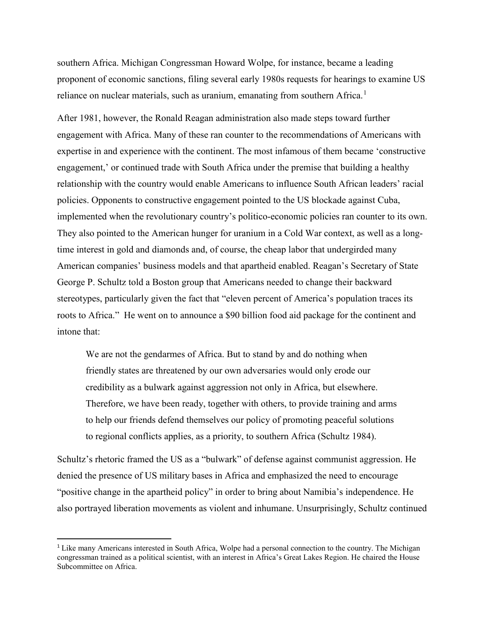southern Africa. Michigan Congressman Howard Wolpe, for instance, became a leading proponent of economic sanctions, filing several early 1980s requests for hearings to examine US reliance on nuclear materials, such as uranium, emanating from southern Africa.<sup>[1](#page-3-0)</sup>

After 1981, however, the Ronald Reagan administration also made steps toward further engagement with Africa. Many of these ran counter to the recommendations of Americans with expertise in and experience with the continent. The most infamous of them became 'constructive engagement,' or continued trade with South Africa under the premise that building a healthy relationship with the country would enable Americans to influence South African leaders' racial policies. Opponents to constructive engagement pointed to the US blockade against Cuba, implemented when the revolutionary country's politico-economic policies ran counter to its own. They also pointed to the American hunger for uranium in a Cold War context, as well as a longtime interest in gold and diamonds and, of course, the cheap labor that undergirded many American companies' business models and that apartheid enabled. Reagan's Secretary of State George P. Schultz told a Boston group that Americans needed to change their backward stereotypes, particularly given the fact that "eleven percent of America's population traces its roots to Africa." He went on to announce a \$90 billion food aid package for the continent and intone that:

We are not the gendarmes of Africa. But to stand by and do nothing when friendly states are threatened by our own adversaries would only erode our credibility as a bulwark against aggression not only in Africa, but elsewhere. Therefore, we have been ready, together with others, to provide training and arms to help our friends defend themselves our policy of promoting peaceful solutions to regional conflicts applies, as a priority, to southern Africa (Schultz 1984).

Schultz's rhetoric framed the US as a "bulwark" of defense against communist aggression. He denied the presence of US military bases in Africa and emphasized the need to encourage "positive change in the apartheid policy" in order to bring about Namibia's independence. He also portrayed liberation movements as violent and inhumane. Unsurprisingly, Schultz continued

<span id="page-3-0"></span><sup>&</sup>lt;sup>1</sup> Like many Americans interested in South Africa, Wolpe had a personal connection to the country. The Michigan congressman trained as a political scientist, with an interest in Africa's Great Lakes Region. He chaired the House Subcommittee on Africa.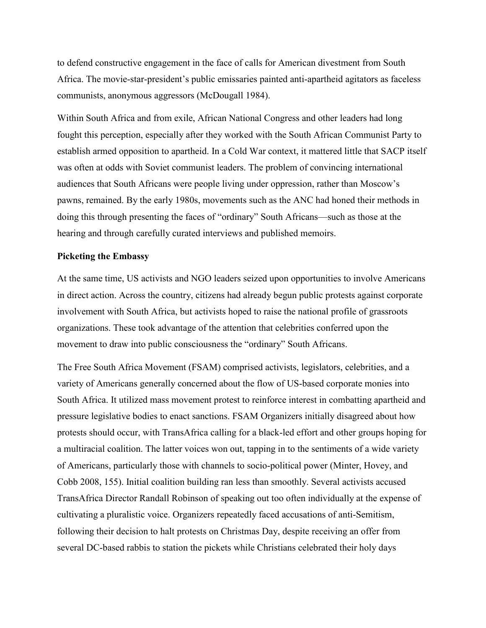to defend constructive engagement in the face of calls for American divestment from South Africa. The movie-star-president's public emissaries painted anti-apartheid agitators as faceless communists, anonymous aggressors (McDougall 1984).

Within South Africa and from exile, African National Congress and other leaders had long fought this perception, especially after they worked with the South African Communist Party to establish armed opposition to apartheid. In a Cold War context, it mattered little that SACP itself was often at odds with Soviet communist leaders. The problem of convincing international audiences that South Africans were people living under oppression, rather than Moscow's pawns, remained. By the early 1980s, movements such as the ANC had honed their methods in doing this through presenting the faces of "ordinary" South Africans—such as those at the hearing and through carefully curated interviews and published memoirs.

#### **Picketing the Embassy**

At the same time, US activists and NGO leaders seized upon opportunities to involve Americans in direct action. Across the country, citizens had already begun public protests against corporate involvement with South Africa, but activists hoped to raise the national profile of grassroots organizations. These took advantage of the attention that celebrities conferred upon the movement to draw into public consciousness the "ordinary" South Africans.

The Free South Africa Movement (FSAM) comprised activists, legislators, celebrities, and a variety of Americans generally concerned about the flow of US-based corporate monies into South Africa. It utilized mass movement protest to reinforce interest in combatting apartheid and pressure legislative bodies to enact sanctions. FSAM Organizers initially disagreed about how protests should occur, with TransAfrica calling for a black-led effort and other groups hoping for a multiracial coalition. The latter voices won out, tapping in to the sentiments of a wide variety of Americans, particularly those with channels to socio-political power (Minter, Hovey, and Cobb 2008, 155). Initial coalition building ran less than smoothly. Several activists accused TransAfrica Director Randall Robinson of speaking out too often individually at the expense of cultivating a pluralistic voice. Organizers repeatedly faced accusations of anti-Semitism, following their decision to halt protests on Christmas Day, despite receiving an offer from several DC-based rabbis to station the pickets while Christians celebrated their holy days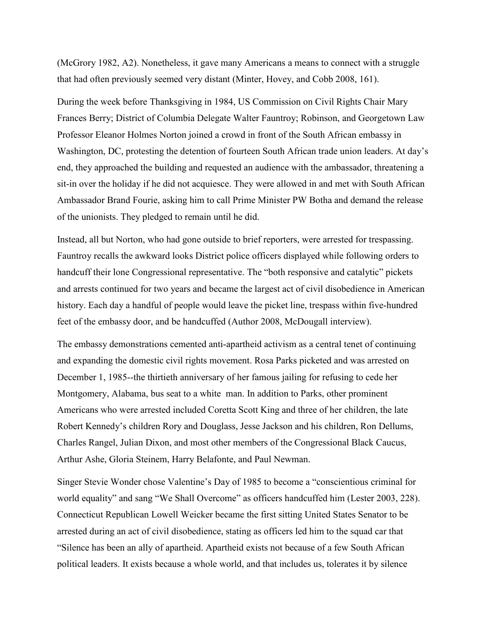(McGrory 1982, A2). Nonetheless, it gave many Americans a means to connect with a struggle that had often previously seemed very distant (Minter, Hovey, and Cobb 2008, 161).

During the week before Thanksgiving in 1984, US Commission on Civil Rights Chair Mary Frances Berry; District of Columbia Delegate Walter Fauntroy; Robinson, and Georgetown Law Professor Eleanor Holmes Norton joined a crowd in front of the South African embassy in Washington, DC, protesting the detention of fourteen South African trade union leaders. At day's end, they approached the building and requested an audience with the ambassador, threatening a sit-in over the holiday if he did not acquiesce. They were allowed in and met with South African Ambassador Brand Fourie, asking him to call Prime Minister PW Botha and demand the release of the unionists. They pledged to remain until he did.

Instead, all but Norton, who had gone outside to brief reporters, were arrested for trespassing. Fauntroy recalls the awkward looks District police officers displayed while following orders to handcuff their lone Congressional representative. The "both responsive and catalytic" pickets and arrests continued for two years and became the largest act of civil disobedience in American history. Each day a handful of people would leave the picket line, trespass within five-hundred feet of the embassy door, and be handcuffed (Author 2008, McDougall interview).

The embassy demonstrations cemented anti-apartheid activism as a central tenet of continuing and expanding the domestic civil rights movement. Rosa Parks picketed and was arrested on December 1, 1985--the thirtieth anniversary of her famous jailing for refusing to cede her Montgomery, Alabama, bus seat to a white man. In addition to Parks, other prominent Americans who were arrested included Coretta Scott King and three of her children, the late Robert Kennedy's children Rory and Douglass, Jesse Jackson and his children, Ron Dellums, Charles Rangel, Julian Dixon, and most other members of the Congressional Black Caucus, Arthur Ashe, Gloria Steinem, Harry Belafonte, and Paul Newman.

Singer Stevie Wonder chose Valentine's Day of 1985 to become a "conscientious criminal for world equality" and sang "We Shall Overcome" as officers handcuffed him (Lester 2003, 228). Connecticut Republican Lowell Weicker became the first sitting United States Senator to be arrested during an act of civil disobedience, stating as officers led him to the squad car that "Silence has been an ally of apartheid. Apartheid exists not because of a few South African political leaders. It exists because a whole world, and that includes us, tolerates it by silence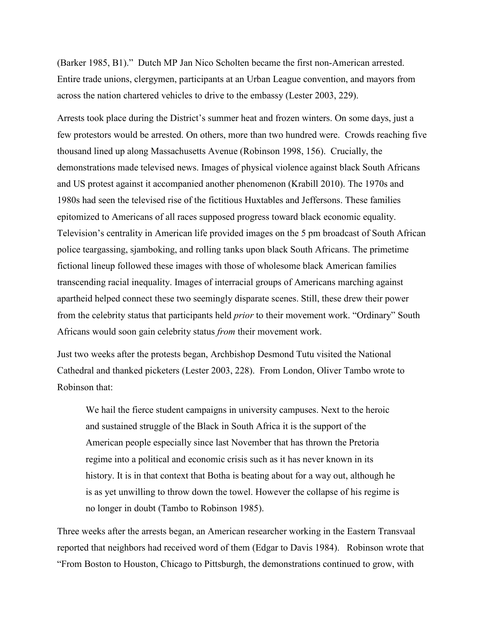(Barker 1985, B1)." Dutch MP Jan Nico Scholten became the first non-American arrested. Entire trade unions, clergymen, participants at an Urban League convention, and mayors from across the nation chartered vehicles to drive to the embassy (Lester 2003, 229).

Arrests took place during the District's summer heat and frozen winters. On some days, just a few protestors would be arrested. On others, more than two hundred were. Crowds reaching five thousand lined up along Massachusetts Avenue (Robinson 1998, 156). Crucially, the demonstrations made televised news. Images of physical violence against black South Africans and US protest against it accompanied another phenomenon (Krabill 2010). The 1970s and 1980s had seen the televised rise of the fictitious Huxtables and Jeffersons. These families epitomized to Americans of all races supposed progress toward black economic equality. Television's centrality in American life provided images on the 5 pm broadcast of South African police teargassing, sjamboking, and rolling tanks upon black South Africans. The primetime fictional lineup followed these images with those of wholesome black American families transcending racial inequality. Images of interracial groups of Americans marching against apartheid helped connect these two seemingly disparate scenes. Still, these drew their power from the celebrity status that participants held *prior* to their movement work. "Ordinary" South Africans would soon gain celebrity status *from* their movement work.

Just two weeks after the protests began, Archbishop Desmond Tutu visited the National Cathedral and thanked picketers (Lester 2003, 228). From London, Oliver Tambo wrote to Robinson that:

We hail the fierce student campaigns in university campuses. Next to the heroic and sustained struggle of the Black in South Africa it is the support of the American people especially since last November that has thrown the Pretoria regime into a political and economic crisis such as it has never known in its history. It is in that context that Botha is beating about for a way out, although he is as yet unwilling to throw down the towel. However the collapse of his regime is no longer in doubt (Tambo to Robinson 1985).

Three weeks after the arrests began, an American researcher working in the Eastern Transvaal reported that neighbors had received word of them (Edgar to Davis 1984). Robinson wrote that "From Boston to Houston, Chicago to Pittsburgh, the demonstrations continued to grow, with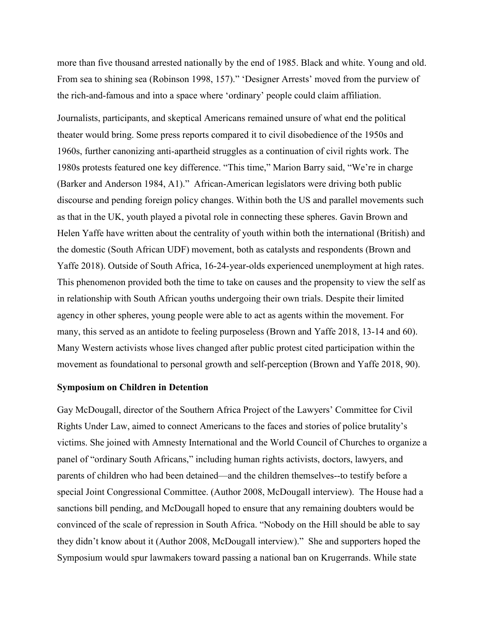more than five thousand arrested nationally by the end of 1985. Black and white. Young and old. From sea to shining sea (Robinson 1998, 157)." 'Designer Arrests' moved from the purview of the rich-and-famous and into a space where 'ordinary' people could claim affiliation.

Journalists, participants, and skeptical Americans remained unsure of what end the political theater would bring. Some press reports compared it to civil disobedience of the 1950s and 1960s, further canonizing anti-apartheid struggles as a continuation of civil rights work. The 1980s protests featured one key difference. "This time," Marion Barry said, "We're in charge (Barker and Anderson 1984, A1)." African-American legislators were driving both public discourse and pending foreign policy changes. Within both the US and parallel movements such as that in the UK, youth played a pivotal role in connecting these spheres. Gavin Brown and Helen Yaffe have written about the centrality of youth within both the international (British) and the domestic (South African UDF) movement, both as catalysts and respondents (Brown and Yaffe 2018). Outside of South Africa, 16-24-year-olds experienced unemployment at high rates. This phenomenon provided both the time to take on causes and the propensity to view the self as in relationship with South African youths undergoing their own trials. Despite their limited agency in other spheres, young people were able to act as agents within the movement. For many, this served as an antidote to feeling purposeless (Brown and Yaffe 2018, 13-14 and 60). Many Western activists whose lives changed after public protest cited participation within the movement as foundational to personal growth and self-perception (Brown and Yaffe 2018, 90).

#### **Symposium on Children in Detention**

Gay McDougall, director of the Southern Africa Project of the Lawyers' Committee for Civil Rights Under Law, aimed to connect Americans to the faces and stories of police brutality's victims. She joined with Amnesty International and the World Council of Churches to organize a panel of "ordinary South Africans," including human rights activists, doctors, lawyers, and parents of children who had been detained—and the children themselves--to testify before a special Joint Congressional Committee. (Author 2008, McDougall interview). The House had a sanctions bill pending, and McDougall hoped to ensure that any remaining doubters would be convinced of the scale of repression in South Africa. "Nobody on the Hill should be able to say they didn't know about it (Author 2008, McDougall interview)." She and supporters hoped the Symposium would spur lawmakers toward passing a national ban on Krugerrands. While state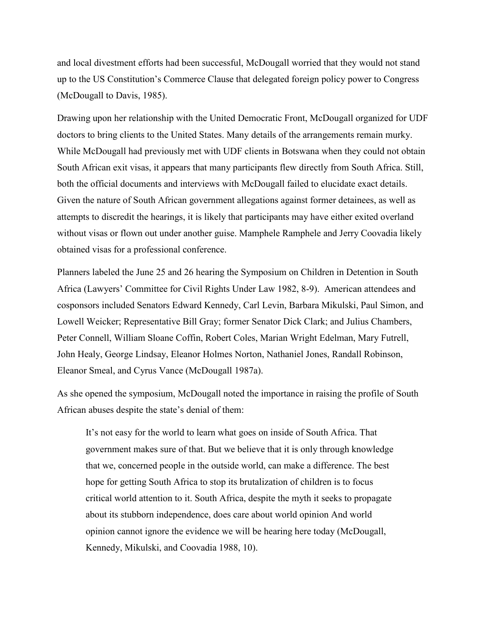and local divestment efforts had been successful, McDougall worried that they would not stand up to the US Constitution's Commerce Clause that delegated foreign policy power to Congress (McDougall to Davis, 1985).

Drawing upon her relationship with the United Democratic Front, McDougall organized for UDF doctors to bring clients to the United States. Many details of the arrangements remain murky. While McDougall had previously met with UDF clients in Botswana when they could not obtain South African exit visas, it appears that many participants flew directly from South Africa. Still, both the official documents and interviews with McDougall failed to elucidate exact details. Given the nature of South African government allegations against former detainees, as well as attempts to discredit the hearings, it is likely that participants may have either exited overland without visas or flown out under another guise. Mamphele Ramphele and Jerry Coovadia likely obtained visas for a professional conference.

Planners labeled the June 25 and 26 hearing the Symposium on Children in Detention in South Africa (Lawyers' Committee for Civil Rights Under Law 1982, 8-9). American attendees and cosponsors included Senators Edward Kennedy, Carl Levin, Barbara Mikulski, Paul Simon, and Lowell Weicker; Representative Bill Gray; former Senator Dick Clark; and Julius Chambers, Peter Connell, William Sloane Coffin, Robert Coles, Marian Wright Edelman, Mary Futrell, John Healy, George Lindsay, Eleanor Holmes Norton, Nathaniel Jones, Randall Robinson, Eleanor Smeal, and Cyrus Vance (McDougall 1987a).

As she opened the symposium, McDougall noted the importance in raising the profile of South African abuses despite the state's denial of them:

It's not easy for the world to learn what goes on inside of South Africa. That government makes sure of that. But we believe that it is only through knowledge that we, concerned people in the outside world, can make a difference. The best hope for getting South Africa to stop its brutalization of children is to focus critical world attention to it. South Africa, despite the myth it seeks to propagate about its stubborn independence, does care about world opinion And world opinion cannot ignore the evidence we will be hearing here today (McDougall, Kennedy, Mikulski, and Coovadia 1988, 10).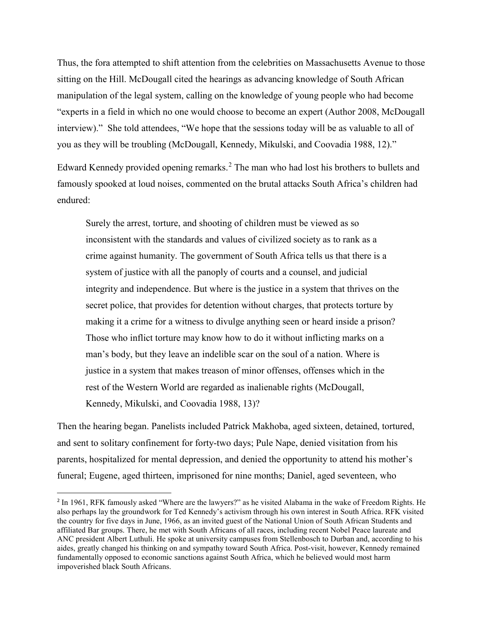Thus, the fora attempted to shift attention from the celebrities on Massachusetts Avenue to those sitting on the Hill. McDougall cited the hearings as advancing knowledge of South African manipulation of the legal system, calling on the knowledge of young people who had become "experts in a field in which no one would choose to become an expert (Author 2008, McDougall interview)." She told attendees, "We hope that the sessions today will be as valuable to all of you as they will be troubling (McDougall, Kennedy, Mikulski, and Coovadia 1988, 12)."

Edward Kennedy provided opening remarks. [2](#page-9-0) The man who had lost his brothers to bullets and famously spooked at loud noises, commented on the brutal attacks South Africa's children had endured:

Surely the arrest, torture, and shooting of children must be viewed as so inconsistent with the standards and values of civilized society as to rank as a crime against humanity. The government of South Africa tells us that there is a system of justice with all the panoply of courts and a counsel, and judicial integrity and independence. But where is the justice in a system that thrives on the secret police, that provides for detention without charges, that protects torture by making it a crime for a witness to divulge anything seen or heard inside a prison? Those who inflict torture may know how to do it without inflicting marks on a man's body, but they leave an indelible scar on the soul of a nation. Where is justice in a system that makes treason of minor offenses, offenses which in the rest of the Western World are regarded as inalienable rights (McDougall, Kennedy, Mikulski, and Coovadia 1988, 13)?

Then the hearing began. Panelists included Patrick Makhoba, aged sixteen, detained, tortured, and sent to solitary confinement for forty-two days; Pule Nape, denied visitation from his parents, hospitalized for mental depression, and denied the opportunity to attend his mother's funeral; Eugene, aged thirteen, imprisoned for nine months; Daniel, aged seventeen, who

<span id="page-9-0"></span> <sup>2</sup> In 1961, RFK famously asked "Where are the lawyers?" as he visited Alabama in the wake of Freedom Rights. He also perhaps lay the groundwork for Ted Kennedy's activism through his own interest in South Africa. RFK visited the country for five days in June, 1966, as an invited guest of the National Union of South African Students and affiliated Bar groups. There, he met with South Africans of all races, including recent Nobel Peace laureate and ANC president Albert Luthuli. He spoke at university campuses from Stellenbosch to Durban and, according to his aides, greatly changed his thinking on and sympathy toward South Africa. Post-visit, however, Kennedy remained fundamentally opposed to economic sanctions against South Africa, which he believed would most harm impoverished black South Africans.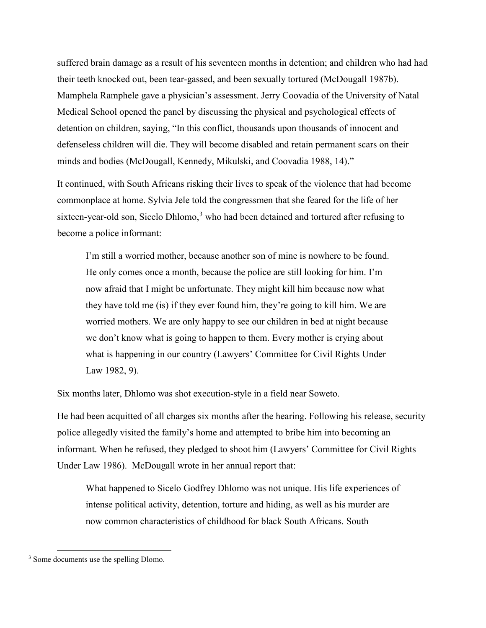suffered brain damage as a result of his seventeen months in detention; and children who had had their teeth knocked out, been tear-gassed, and been sexually tortured (McDougall 1987b). Mamphela Ramphele gave a physician's assessment. Jerry Coovadia of the University of Natal Medical School opened the panel by discussing the physical and psychological effects of detention on children, saying, "In this conflict, thousands upon thousands of innocent and defenseless children will die. They will become disabled and retain permanent scars on their minds and bodies (McDougall, Kennedy, Mikulski, and Coovadia 1988, 14)."

It continued, with South Africans risking their lives to speak of the violence that had become commonplace at home. Sylvia Jele told the congressmen that she feared for the life of her sixteen-year-old son, Sicelo Dhlomo, $3$  who had been detained and tortured after refusing to become a police informant:

I'm still a worried mother, because another son of mine is nowhere to be found. He only comes once a month, because the police are still looking for him. I'm now afraid that I might be unfortunate. They might kill him because now what they have told me (is) if they ever found him, they're going to kill him. We are worried mothers. We are only happy to see our children in bed at night because we don't know what is going to happen to them. Every mother is crying about what is happening in our country (Lawyers' Committee for Civil Rights Under Law 1982, 9).

Six months later, Dhlomo was shot execution-style in a field near Soweto.

He had been acquitted of all charges six months after the hearing. Following his release, security police allegedly visited the family's home and attempted to bribe him into becoming an informant. When he refused, they pledged to shoot him (Lawyers' Committee for Civil Rights Under Law 1986). McDougall wrote in her annual report that:

What happened to Sicelo Godfrey Dhlomo was not unique. His life experiences of intense political activity, detention, torture and hiding, as well as his murder are now common characteristics of childhood for black South Africans. South

 $\overline{\phantom{a}}$ 

<span id="page-10-0"></span><sup>&</sup>lt;sup>3</sup> Some documents use the spelling Dlomo.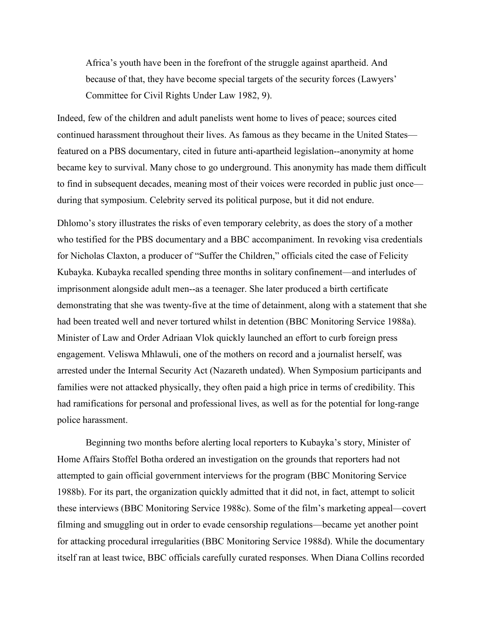Africa's youth have been in the forefront of the struggle against apartheid. And because of that, they have become special targets of the security forces (Lawyers' Committee for Civil Rights Under Law 1982, 9).

Indeed, few of the children and adult panelists went home to lives of peace; sources cited continued harassment throughout their lives. As famous as they became in the United States featured on a PBS documentary, cited in future anti-apartheid legislation--anonymity at home became key to survival. Many chose to go underground. This anonymity has made them difficult to find in subsequent decades, meaning most of their voices were recorded in public just once during that symposium. Celebrity served its political purpose, but it did not endure.

Dhlomo's story illustrates the risks of even temporary celebrity, as does the story of a mother who testified for the PBS documentary and a BBC accompaniment. In revoking visa credentials for Nicholas Claxton, a producer of "Suffer the Children," officials cited the case of Felicity Kubayka. Kubayka recalled spending three months in solitary confinement—and interludes of imprisonment alongside adult men--as a teenager. She later produced a birth certificate demonstrating that she was twenty-five at the time of detainment, along with a statement that she had been treated well and never tortured whilst in detention (BBC Monitoring Service 1988a). Minister of Law and Order Adriaan Vlok quickly launched an effort to curb foreign press engagement. Veliswa Mhlawuli, one of the mothers on record and a journalist herself, was arrested under the Internal Security Act (Nazareth undated). When Symposium participants and families were not attacked physically, they often paid a high price in terms of credibility. This had ramifications for personal and professional lives, as well as for the potential for long-range police harassment.

Beginning two months before alerting local reporters to Kubayka's story, Minister of Home Affairs Stoffel Botha ordered an investigation on the grounds that reporters had not attempted to gain official government interviews for the program (BBC Monitoring Service 1988b). For its part, the organization quickly admitted that it did not, in fact, attempt to solicit these interviews (BBC Monitoring Service 1988c). Some of the film's marketing appeal—covert filming and smuggling out in order to evade censorship regulations—became yet another point for attacking procedural irregularities (BBC Monitoring Service 1988d). While the documentary itself ran at least twice, BBC officials carefully curated responses. When Diana Collins recorded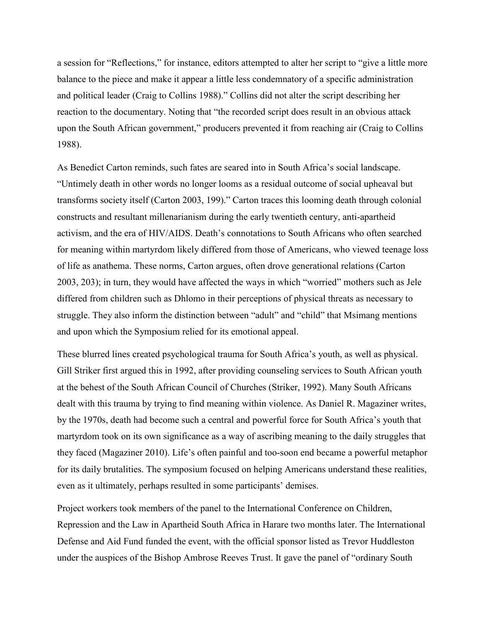a session for "Reflections," for instance, editors attempted to alter her script to "give a little more balance to the piece and make it appear a little less condemnatory of a specific administration and political leader (Craig to Collins 1988)." Collins did not alter the script describing her reaction to the documentary. Noting that "the recorded script does result in an obvious attack upon the South African government," producers prevented it from reaching air (Craig to Collins 1988).

As Benedict Carton reminds, such fates are seared into in South Africa's social landscape. "Untimely death in other words no longer looms as a residual outcome of social upheaval but transforms society itself (Carton 2003, 199)." Carton traces this looming death through colonial constructs and resultant millenarianism during the early twentieth century, anti-apartheid activism, and the era of HIV/AIDS. Death's connotations to South Africans who often searched for meaning within martyrdom likely differed from those of Americans, who viewed teenage loss of life as anathema. These norms, Carton argues, often drove generational relations (Carton 2003, 203); in turn, they would have affected the ways in which "worried" mothers such as Jele differed from children such as Dhlomo in their perceptions of physical threats as necessary to struggle. They also inform the distinction between "adult" and "child" that Msimang mentions and upon which the Symposium relied for its emotional appeal.

These blurred lines created psychological trauma for South Africa's youth, as well as physical. Gill Striker first argued this in 1992, after providing counseling services to South African youth at the behest of the South African Council of Churches (Striker, 1992). Many South Africans dealt with this trauma by trying to find meaning within violence. As Daniel R. Magaziner writes, by the 1970s, death had become such a central and powerful force for South Africa's youth that martyrdom took on its own significance as a way of ascribing meaning to the daily struggles that they faced (Magaziner 2010). Life's often painful and too-soon end became a powerful metaphor for its daily brutalities. The symposium focused on helping Americans understand these realities, even as it ultimately, perhaps resulted in some participants' demises.

Project workers took members of the panel to the International Conference on Children, Repression and the Law in Apartheid South Africa in Harare two months later. The International Defense and Aid Fund funded the event, with the official sponsor listed as Trevor Huddleston under the auspices of the Bishop Ambrose Reeves Trust. It gave the panel of "ordinary South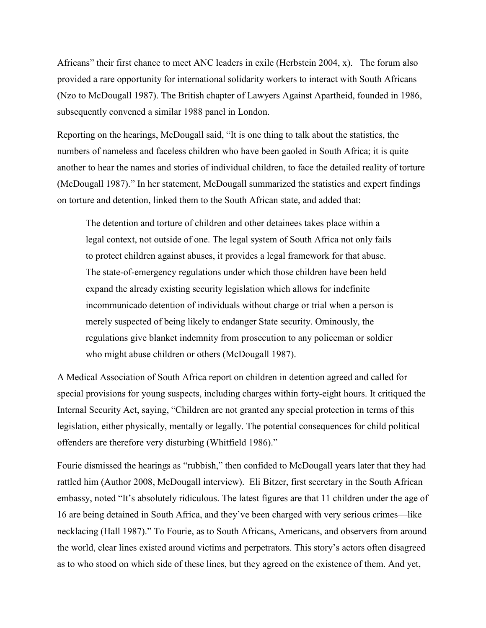Africans" their first chance to meet ANC leaders in exile (Herbstein 2004, x). The forum also provided a rare opportunity for international solidarity workers to interact with South Africans (Nzo to McDougall 1987). The British chapter of Lawyers Against Apartheid, founded in 1986, subsequently convened a similar 1988 panel in London.

Reporting on the hearings, McDougall said, "It is one thing to talk about the statistics, the numbers of nameless and faceless children who have been gaoled in South Africa; it is quite another to hear the names and stories of individual children, to face the detailed reality of torture (McDougall 1987)." In her statement, McDougall summarized the statistics and expert findings on torture and detention, linked them to the South African state, and added that:

The detention and torture of children and other detainees takes place within a legal context, not outside of one. The legal system of South Africa not only fails to protect children against abuses, it provides a legal framework for that abuse. The state-of-emergency regulations under which those children have been held expand the already existing security legislation which allows for indefinite incommunicado detention of individuals without charge or trial when a person is merely suspected of being likely to endanger State security. Ominously, the regulations give blanket indemnity from prosecution to any policeman or soldier who might abuse children or others (McDougall 1987).

A Medical Association of South Africa report on children in detention agreed and called for special provisions for young suspects, including charges within forty-eight hours. It critiqued the Internal Security Act, saying, "Children are not granted any special protection in terms of this legislation, either physically, mentally or legally. The potential consequences for child political offenders are therefore very disturbing (Whitfield 1986)."

Fourie dismissed the hearings as "rubbish," then confided to McDougall years later that they had rattled him (Author 2008, McDougall interview). Eli Bitzer, first secretary in the South African embassy, noted "It's absolutely ridiculous. The latest figures are that 11 children under the age of 16 are being detained in South Africa, and they've been charged with very serious crimes—like necklacing (Hall 1987)." To Fourie, as to South Africans, Americans, and observers from around the world, clear lines existed around victims and perpetrators. This story's actors often disagreed as to who stood on which side of these lines, but they agreed on the existence of them. And yet,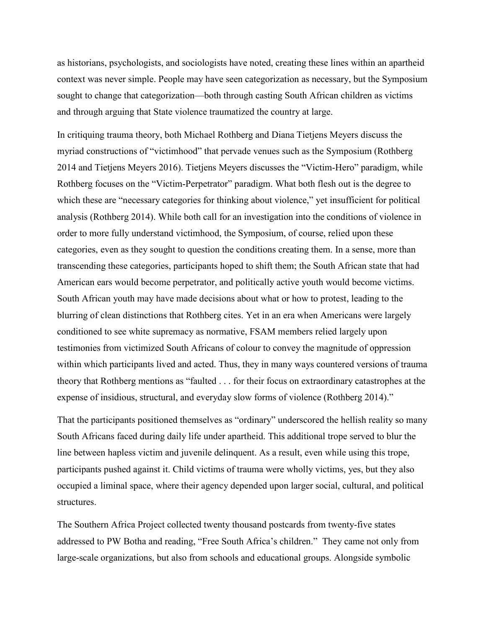as historians, psychologists, and sociologists have noted, creating these lines within an apartheid context was never simple. People may have seen categorization as necessary, but the Symposium sought to change that categorization—both through casting South African children as victims and through arguing that State violence traumatized the country at large.

In critiquing trauma theory, both Michael Rothberg and Diana Tietjens Meyers discuss the myriad constructions of "victimhood" that pervade venues such as the Symposium (Rothberg 2014 and Tietjens Meyers 2016). Tietjens Meyers discusses the "Victim-Hero" paradigm, while Rothberg focuses on the "Victim-Perpetrator" paradigm. What both flesh out is the degree to which these are "necessary categories for thinking about violence," yet insufficient for political analysis (Rothberg 2014). While both call for an investigation into the conditions of violence in order to more fully understand victimhood, the Symposium, of course, relied upon these categories, even as they sought to question the conditions creating them. In a sense, more than transcending these categories, participants hoped to shift them; the South African state that had American ears would become perpetrator, and politically active youth would become victims. South African youth may have made decisions about what or how to protest, leading to the blurring of clean distinctions that Rothberg cites. Yet in an era when Americans were largely conditioned to see white supremacy as normative, FSAM members relied largely upon testimonies from victimized South Africans of colour to convey the magnitude of oppression within which participants lived and acted. Thus, they in many ways countered versions of trauma theory that Rothberg mentions as "faulted . . . for their focus on extraordinary catastrophes at the expense of insidious, structural, and everyday slow forms of violence (Rothberg 2014)."

That the participants positioned themselves as "ordinary" underscored the hellish reality so many South Africans faced during daily life under apartheid. This additional trope served to blur the line between hapless victim and juvenile delinquent. As a result, even while using this trope, participants pushed against it. Child victims of trauma were wholly victims, yes, but they also occupied a liminal space, where their agency depended upon larger social, cultural, and political structures.

The Southern Africa Project collected twenty thousand postcards from twenty-five states addressed to PW Botha and reading, "Free South Africa's children." They came not only from large-scale organizations, but also from schools and educational groups. Alongside symbolic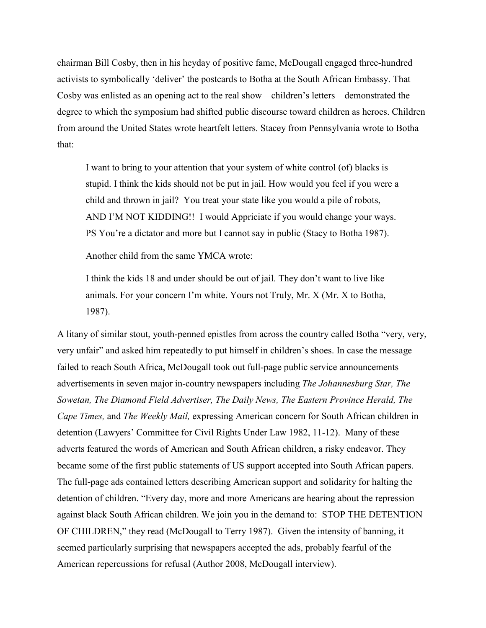chairman Bill Cosby, then in his heyday of positive fame, McDougall engaged three-hundred activists to symbolically 'deliver' the postcards to Botha at the South African Embassy. That Cosby was enlisted as an opening act to the real show—children's letters—demonstrated the degree to which the symposium had shifted public discourse toward children as heroes. Children from around the United States wrote heartfelt letters. Stacey from Pennsylvania wrote to Botha that:

I want to bring to your attention that your system of white control (of) blacks is stupid. I think the kids should not be put in jail. How would you feel if you were a child and thrown in jail? You treat your state like you would a pile of robots, AND I'M NOT KIDDING!! I would Appriciate if you would change your ways. PS You're a dictator and more but I cannot say in public (Stacy to Botha 1987).

Another child from the same YMCA wrote:

I think the kids 18 and under should be out of jail. They don't want to live like animals. For your concern I'm white. Yours not Truly, Mr. X (Mr. X to Botha, 1987).

A litany of similar stout, youth-penned epistles from across the country called Botha "very, very, very unfair" and asked him repeatedly to put himself in children's shoes. In case the message failed to reach South Africa, McDougall took out full-page public service announcements advertisements in seven major in-country newspapers including *The Johannesburg Star, The Sowetan, The Diamond Field Advertiser, The Daily News, The Eastern Province Herald, The Cape Times,* and *The Weekly Mail,* expressing American concern for South African children in detention (Lawyers' Committee for Civil Rights Under Law 1982, 11-12). Many of these adverts featured the words of American and South African children, a risky endeavor. They became some of the first public statements of US support accepted into South African papers. The full-page ads contained letters describing American support and solidarity for halting the detention of children. "Every day, more and more Americans are hearing about the repression against black South African children. We join you in the demand to: STOP THE DETENTION OF CHILDREN," they read (McDougall to Terry 1987). Given the intensity of banning, it seemed particularly surprising that newspapers accepted the ads, probably fearful of the American repercussions for refusal (Author 2008, McDougall interview).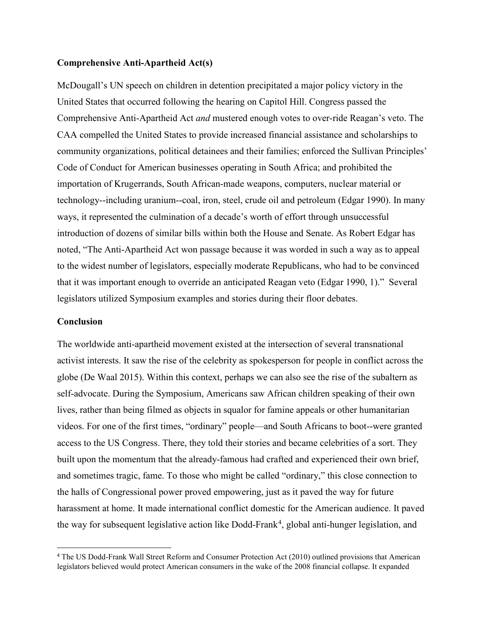#### **Comprehensive Anti-Apartheid Act(s)**

McDougall's UN speech on children in detention precipitated a major policy victory in the United States that occurred following the hearing on Capitol Hill. Congress passed the Comprehensive Anti-Apartheid Act *and* mustered enough votes to over-ride Reagan's veto. The CAA compelled the United States to provide increased financial assistance and scholarships to community organizations, political detainees and their families; enforced the Sullivan Principles' Code of Conduct for American businesses operating in South Africa; and prohibited the importation of Krugerrands, South African-made weapons, computers, nuclear material or technology--including uranium--coal, iron, steel, crude oil and petroleum (Edgar 1990). In many ways, it represented the culmination of a decade's worth of effort through unsuccessful introduction of dozens of similar bills within both the House and Senate. As Robert Edgar has noted, "The Anti-Apartheid Act won passage because it was worded in such a way as to appeal to the widest number of legislators, especially moderate Republicans, who had to be convinced that it was important enough to override an anticipated Reagan veto (Edgar 1990, 1)." Several legislators utilized Symposium examples and stories during their floor debates.

#### **Conclusion**

The worldwide anti-apartheid movement existed at the intersection of several transnational activist interests. It saw the rise of the celebrity as spokesperson for people in conflict across the globe (De Waal 2015). Within this context, perhaps we can also see the rise of the subaltern as self-advocate. During the Symposium, Americans saw African children speaking of their own lives, rather than being filmed as objects in squalor for famine appeals or other humanitarian videos. For one of the first times, "ordinary" people—and South Africans to boot--were granted access to the US Congress. There, they told their stories and became celebrities of a sort. They built upon the momentum that the already-famous had crafted and experienced their own brief, and sometimes tragic, fame. To those who might be called "ordinary," this close connection to the halls of Congressional power proved empowering, just as it paved the way for future harassment at home. It made international conflict domestic for the American audience. It paved the way for subsequent legislative action like Dodd-Frank<sup>[4](#page-16-0)</sup>, global anti-hunger legislation, and

<span id="page-16-0"></span> <sup>4</sup> The US Dodd-Frank Wall Street Reform and Consumer Protection Act (2010) outlined provisions that American legislators believed would protect American consumers in the wake of the 2008 financial collapse. It expanded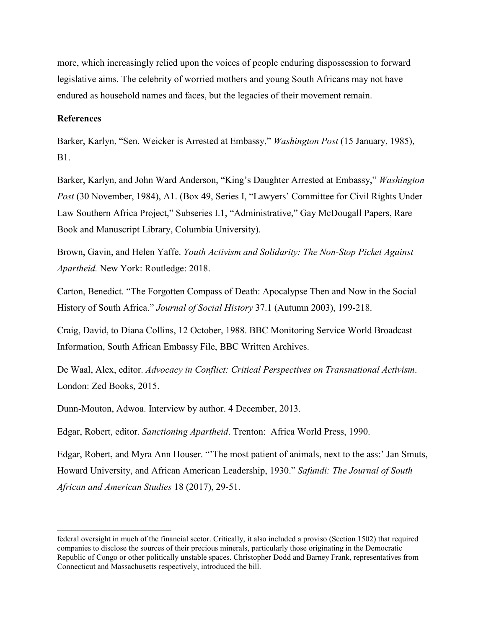more, which increasingly relied upon the voices of people enduring dispossession to forward legislative aims. The celebrity of worried mothers and young South Africans may not have endured as household names and faces, but the legacies of their movement remain.

#### **References**

l

Barker, Karlyn, "Sen. Weicker is Arrested at Embassy," *Washington Post* (15 January, 1985), B1.

Barker, Karlyn, and John Ward Anderson, "King's Daughter Arrested at Embassy," *Washington Post* (30 November, 1984), A1. (Box 49, Series I, "Lawyers' Committee for Civil Rights Under Law Southern Africa Project," Subseries I.1, "Administrative," Gay McDougall Papers, Rare Book and Manuscript Library, Columbia University).

Brown, Gavin, and Helen Yaffe. *Youth Activism and Solidarity: The Non-Stop Picket Against Apartheid.* New York: Routledge: 2018.

Carton, Benedict. "The Forgotten Compass of Death: Apocalypse Then and Now in the Social History of South Africa." *Journal of Social History* 37.1 (Autumn 2003), 199-218.

Craig, David, to Diana Collins, 12 October, 1988. BBC Monitoring Service World Broadcast Information, South African Embassy File, BBC Written Archives.

De Waal, Alex, editor. *Advocacy in Conflict: Critical Perspectives on Transnational Activism*. London: Zed Books, 2015.

Dunn-Mouton, Adwoa. Interview by author. 4 December, 2013.

Edgar, Robert, editor. *Sanctioning Apartheid*. Trenton: Africa World Press, 1990.

Edgar, Robert, and Myra Ann Houser. "'The most patient of animals, next to the ass:' Jan Smuts, Howard University, and African American Leadership, 1930." *Safundi: The Journal of South African and American Studies* 18 (2017), 29-51.

federal oversight in much of the financial sector. Critically, it also included a proviso (Section 1502) that required companies to disclose the sources of their precious minerals, particularly those originating in the Democratic Republic of Congo or other politically unstable spaces. Christopher Dodd and Barney Frank, representatives from Connecticut and Massachusetts respectively, introduced the bill.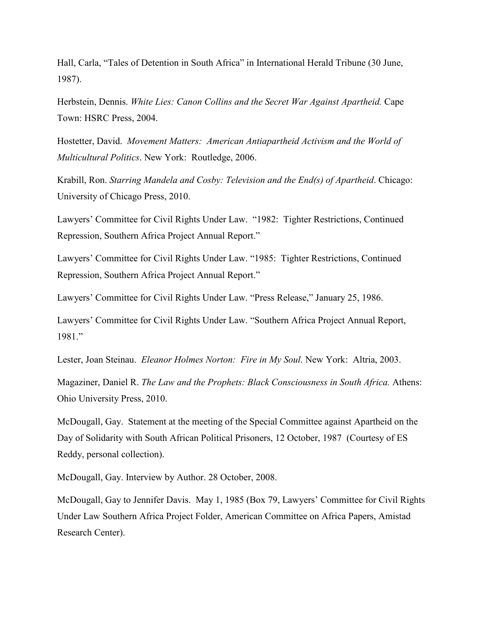Hall, Carla, "Tales of Detention in South Africa" in International Herald Tribune (30 June, 1987).

Herbstein, Dennis. *White Lies: Canon Collins and the Secret War Against Apartheid.* Cape Town: HSRC Press, 2004.

Hostetter, David. *Movement Matters: American Antiapartheid Activism and the World of Multicultural Politics*. New York: Routledge, 2006.

Krabill, Ron. *Starring Mandela and Cosby: Television and the End(s) of Apartheid*. Chicago: University of Chicago Press, 2010.

Lawyers' Committee for Civil Rights Under Law. "1982: Tighter Restrictions, Continued Repression, Southern Africa Project Annual Report."

Lawyers' Committee for Civil Rights Under Law. "1985: Tighter Restrictions, Continued Repression, Southern Africa Project Annual Report."

Lawyers' Committee for Civil Rights Under Law. "Press Release," January 25, 1986.

Lawyers' Committee for Civil Rights Under Law. "Southern Africa Project Annual Report, 1981."

Lester, Joan Steinau. *Eleanor Holmes Norton: Fire in My Soul.* New York: Altria, 2003.

Magaziner, Daniel R. *The Law and the Prophets: Black Consciousness in South Africa.* Athens: Ohio University Press, 2010.

McDougall, Gay. Statement at the meeting of the Special Committee against Apartheid on the Day of Solidarity with South African Political Prisoners, 12 October, 1987 (Courtesy of ES Reddy, personal collection).

McDougall, Gay. Interview by Author. 28 October, 2008.

McDougall, Gay to Jennifer Davis. May 1, 1985 (Box 79, Lawyers' Committee for Civil Rights Under Law Southern Africa Project Folder, American Committee on Africa Papers, Amistad Research Center).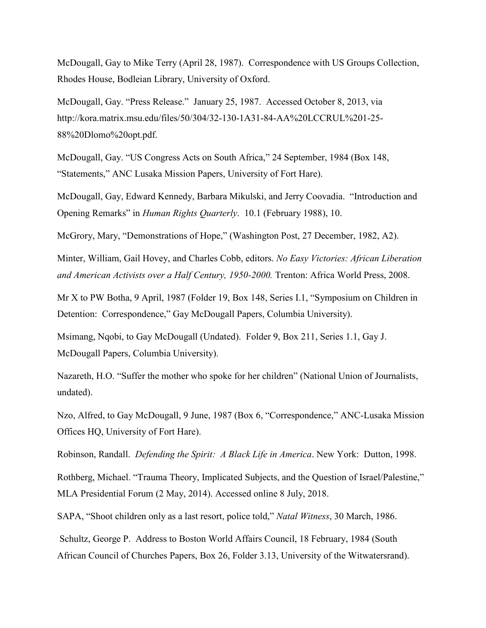McDougall, Gay to Mike Terry (April 28, 1987). Correspondence with US Groups Collection, Rhodes House, Bodleian Library, University of Oxford.

McDougall, Gay. "Press Release." January 25, 1987. Accessed October 8, 2013, via http://kora.matrix.msu.edu/files/50/304/32-130-1A31-84-AA%20LCCRUL%201-25- 88%20Dlomo%20opt.pdf.

McDougall, Gay. "US Congress Acts on South Africa," 24 September, 1984 (Box 148, "Statements," ANC Lusaka Mission Papers, University of Fort Hare).

McDougall, Gay, Edward Kennedy, Barbara Mikulski, and Jerry Coovadia. "Introduction and Opening Remarks" in *Human Rights Quarterly*. 10.1 (February 1988), 10.

McGrory, Mary, "Demonstrations of Hope," (Washington Post, 27 December, 1982, A2).

Minter, William, Gail Hovey, and Charles Cobb, editors. *No Easy Victories: African Liberation and American Activists over a Half Century, 1950-2000.* Trenton: Africa World Press, 2008.

Mr X to PW Botha, 9 April, 1987 (Folder 19, Box 148, Series I.1, "Symposium on Children in Detention: Correspondence," Gay McDougall Papers, Columbia University).

Msimang, Nqobi, to Gay McDougall (Undated). Folder 9, Box 211, Series 1.1, Gay J. McDougall Papers, Columbia University).

Nazareth, H.O. "Suffer the mother who spoke for her children" (National Union of Journalists, undated).

Nzo, Alfred, to Gay McDougall, 9 June, 1987 (Box 6, "Correspondence," ANC-Lusaka Mission Offices HQ, University of Fort Hare).

Robinson, Randall. *Defending the Spirit: A Black Life in America*. New York: Dutton, 1998.

Rothberg, Michael. "Trauma Theory, Implicated Subjects, and the Question of Israel/Palestine," MLA Presidential Forum (2 May, 2014). Accessed online 8 July, 2018.

SAPA, "Shoot children only as a last resort, police told," *Natal Witness*, 30 March, 1986.

Schultz, George P. Address to Boston World Affairs Council, 18 February, 1984 (South African Council of Churches Papers, Box 26, Folder 3.13, University of the Witwatersrand).